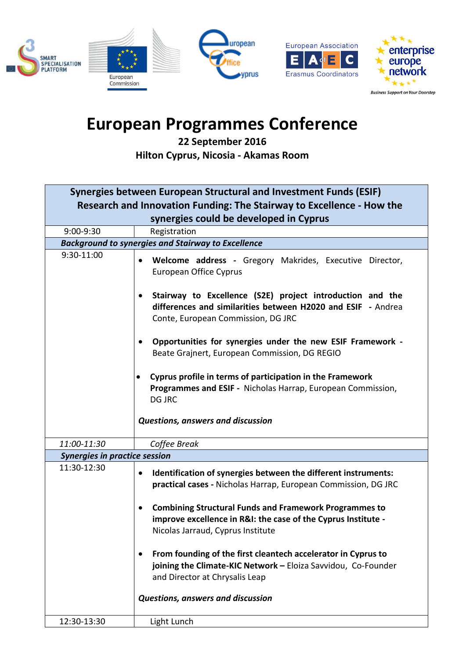

## **European Programmes Conference**

**22 September 2016 Hilton Cyprus, Nicosia - Akamas Room**

| Synergies between European Structural and Investment Funds (ESIF)     |                                                                                                                                                                                                                                                                                                                                                                                                                                                                                                                                                   |
|-----------------------------------------------------------------------|---------------------------------------------------------------------------------------------------------------------------------------------------------------------------------------------------------------------------------------------------------------------------------------------------------------------------------------------------------------------------------------------------------------------------------------------------------------------------------------------------------------------------------------------------|
| Research and Innovation Funding: The Stairway to Excellence - How the |                                                                                                                                                                                                                                                                                                                                                                                                                                                                                                                                                   |
| synergies could be developed in Cyprus                                |                                                                                                                                                                                                                                                                                                                                                                                                                                                                                                                                                   |
| 9:00-9:30                                                             | Registration                                                                                                                                                                                                                                                                                                                                                                                                                                                                                                                                      |
| <b>Background to synergies and Stairway to Excellence</b>             |                                                                                                                                                                                                                                                                                                                                                                                                                                                                                                                                                   |
| 9:30-11:00                                                            | Welcome address - Gregory Makrides, Executive Director,<br>$\bullet$<br><b>European Office Cyprus</b><br>Stairway to Excellence (S2E) project introduction and the<br>$\bullet$<br>differences and similarities between H2020 and ESIF - Andrea<br>Conte, European Commission, DG JRC<br>Opportunities for synergies under the new ESIF Framework -<br>Beate Grajnert, European Commission, DG REGIO<br>Cyprus profile in terms of participation in the Framework<br>Programmes and ESIF - Nicholas Harrap, European Commission,<br><b>DG JRC</b> |
| 11:00-11:30                                                           | <b>Questions, answers and discussion</b><br>Coffee Break                                                                                                                                                                                                                                                                                                                                                                                                                                                                                          |
|                                                                       |                                                                                                                                                                                                                                                                                                                                                                                                                                                                                                                                                   |
| <b>Synergies in practice session</b>                                  |                                                                                                                                                                                                                                                                                                                                                                                                                                                                                                                                                   |
| 11:30-12:30                                                           | Identification of synergies between the different instruments:<br>$\bullet$<br>practical cases - Nicholas Harrap, European Commission, DG JRC<br><b>Combining Structural Funds and Framework Programmes to</b><br>improve excellence in R&I: the case of the Cyprus Institute -<br>Nicolas Jarraud, Cyprus Institute<br>From founding of the first cleantech accelerator in Cyprus to<br>$\bullet$<br>joining the Climate-KIC Network - Eloiza Savvidou, Co-Founder<br>and Director at Chrysalis Leap<br><b>Questions, answers and discussion</b> |
| 12:30-13:30                                                           | Light Lunch                                                                                                                                                                                                                                                                                                                                                                                                                                                                                                                                       |